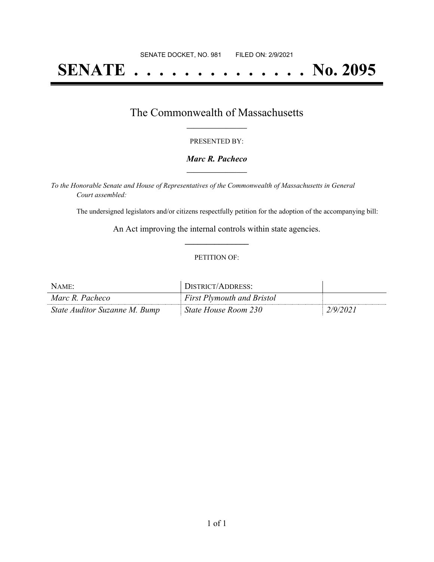# **SENATE . . . . . . . . . . . . . . No. 2095**

### The Commonwealth of Massachusetts **\_\_\_\_\_\_\_\_\_\_\_\_\_\_\_\_\_**

#### PRESENTED BY:

#### *Marc R. Pacheco* **\_\_\_\_\_\_\_\_\_\_\_\_\_\_\_\_\_**

*To the Honorable Senate and House of Representatives of the Commonwealth of Massachusetts in General Court assembled:*

The undersigned legislators and/or citizens respectfully petition for the adoption of the accompanying bill:

An Act improving the internal controls within state agencies. **\_\_\_\_\_\_\_\_\_\_\_\_\_\_\_**

#### PETITION OF:

| NAME:                         | DISTRICT/ADDRESS:                 |          |
|-------------------------------|-----------------------------------|----------|
| Marc R. Pacheco               | <b>First Plymouth and Bristol</b> |          |
| State Auditor Suzanne M. Bump | State House Room 230              | 2/9/2021 |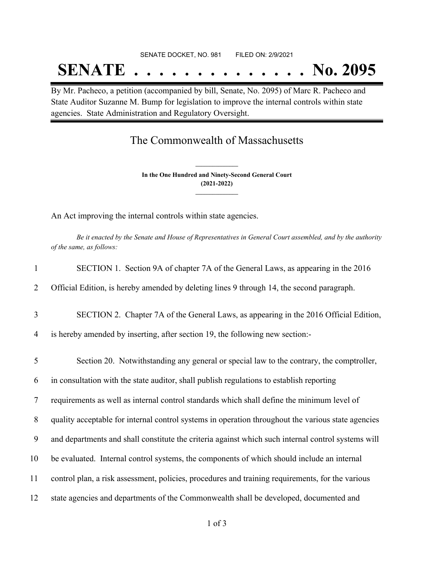## **SENATE . . . . . . . . . . . . . . No. 2095**

By Mr. Pacheco, a petition (accompanied by bill, Senate, No. 2095) of Marc R. Pacheco and State Auditor Suzanne M. Bump for legislation to improve the internal controls within state agencies. State Administration and Regulatory Oversight.

## The Commonwealth of Massachusetts

**In the One Hundred and Ninety-Second General Court (2021-2022) \_\_\_\_\_\_\_\_\_\_\_\_\_\_\_**

**\_\_\_\_\_\_\_\_\_\_\_\_\_\_\_**

An Act improving the internal controls within state agencies.

Be it enacted by the Senate and House of Representatives in General Court assembled, and by the authority *of the same, as follows:*

| 1              | SECTION 1. Section 9A of chapter 7A of the General Laws, as appearing in the 2016                  |
|----------------|----------------------------------------------------------------------------------------------------|
| 2              | Official Edition, is hereby amended by deleting lines 9 through 14, the second paragraph.          |
| 3              | SECTION 2. Chapter 7A of the General Laws, as appearing in the 2016 Official Edition,              |
| 4              | is hereby amended by inserting, after section 19, the following new section:-                      |
| 5              | Section 20. Notwithstanding any general or special law to the contrary, the comptroller,           |
| 6              | in consultation with the state auditor, shall publish regulations to establish reporting           |
| $\overline{7}$ | requirements as well as internal control standards which shall define the minimum level of         |
| 8              | quality acceptable for internal control systems in operation throughout the various state agencies |
| 9              | and departments and shall constitute the criteria against which such internal control systems will |
| 10             | be evaluated. Internal control systems, the components of which should include an internal         |
| 11             | control plan, a risk assessment, policies, procedures and training requirements, for the various   |
| 12             | state agencies and departments of the Commonwealth shall be developed, documented and              |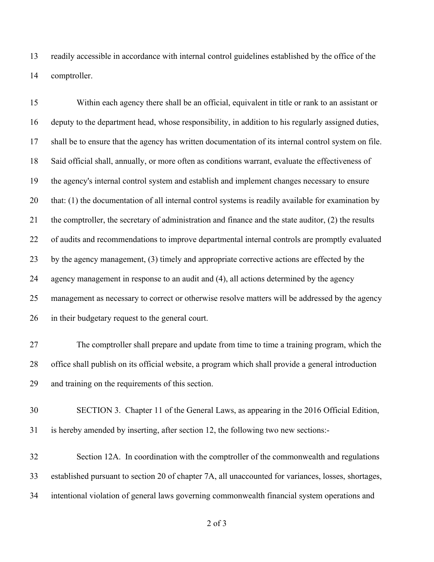readily accessible in accordance with internal control guidelines established by the office of the comptroller.

 Within each agency there shall be an official, equivalent in title or rank to an assistant or deputy to the department head, whose responsibility, in addition to his regularly assigned duties, shall be to ensure that the agency has written documentation of its internal control system on file. Said official shall, annually, or more often as conditions warrant, evaluate the effectiveness of the agency's internal control system and establish and implement changes necessary to ensure that: (1) the documentation of all internal control systems is readily available for examination by the comptroller, the secretary of administration and finance and the state auditor, (2) the results of audits and recommendations to improve departmental internal controls are promptly evaluated 23 by the agency management, (3) timely and appropriate corrective actions are effected by the agency management in response to an audit and (4), all actions determined by the agency management as necessary to correct or otherwise resolve matters will be addressed by the agency in their budgetary request to the general court. The comptroller shall prepare and update from time to time a training program, which the office shall publish on its official website, a program which shall provide a general introduction and training on the requirements of this section. SECTION 3. Chapter 11 of the General Laws, as appearing in the 2016 Official Edition,

is hereby amended by inserting, after section 12, the following two new sections:-

 Section 12A. In coordination with the comptroller of the commonwealth and regulations established pursuant to section 20 of chapter 7A, all unaccounted for variances, losses, shortages, intentional violation of general laws governing commonwealth financial system operations and

of 3